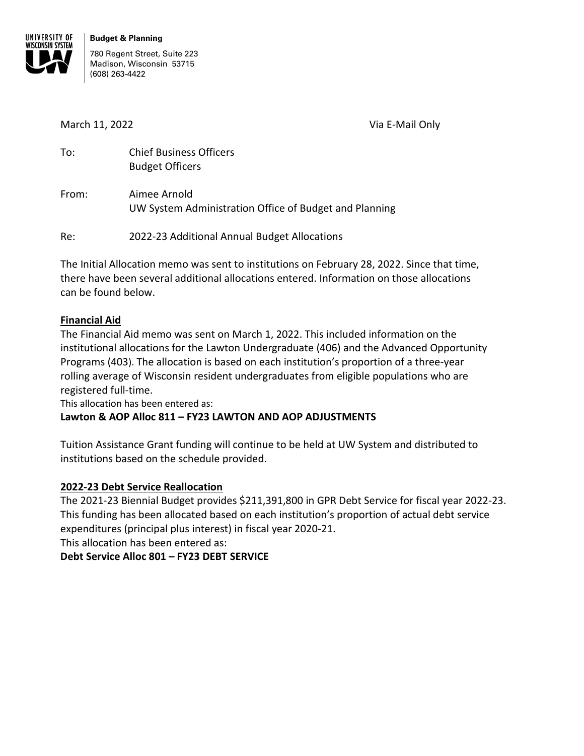

780 Regent Street, Suite 223 Madison, Wisconsin 53715 (608) 263-4422

March 11, 2022 **Via E-Mail Only** 

| To: | <b>Chief Business Officers</b> |  |  |  |  |  |
|-----|--------------------------------|--|--|--|--|--|
|     | <b>Budget Officers</b>         |  |  |  |  |  |
|     |                                |  |  |  |  |  |

From: Aimee Arnold UW System Administration Office of Budget and Planning

Re: 2022-23 Additional Annual Budget Allocations

The Initial Allocation memo was sent to institutions on February 28, 2022. Since that time, there have been several additional allocations entered. Information on those allocations can be found below.

# **Financial Aid**

The Financial Aid memo was sent on March 1, 2022. This included information on the institutional allocations for the Lawton Undergraduate (406) and the Advanced Opportunity Programs (403). The allocation is based on each institution's proportion of a three-year rolling average of Wisconsin resident undergraduates from eligible populations who are registered full-time.

This allocation has been entered as:

# **Lawton & AOP Alloc 811 – FY23 LAWTON AND AOP ADJUSTMENTS**

Tuition Assistance Grant funding will continue to be held at UW System and distributed to institutions based on the schedule provided.

# **2022-23 Debt Service Reallocation**

The 2021-23 Biennial Budget provides \$211,391,800 in GPR Debt Service for fiscal year 2022-23. This funding has been allocated based on each institution's proportion of actual debt service expenditures (principal plus interest) in fiscal year 2020-21.

This allocation has been entered as:

# **Debt Service Alloc 801 – FY23 DEBT SERVICE**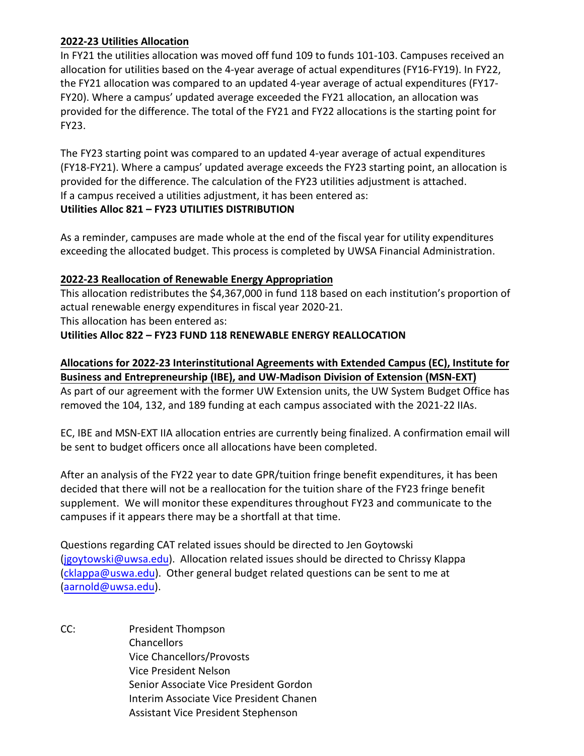# **2022-23 Utilities Allocation**

In FY21 the utilities allocation was moved off fund 109 to funds 101-103. Campuses received an allocation for utilities based on the 4-year average of actual expenditures (FY16-FY19). In FY22, the FY21 allocation was compared to an updated 4-year average of actual expenditures (FY17- FY20). Where a campus' updated average exceeded the FY21 allocation, an allocation was provided for the difference. The total of the FY21 and FY22 allocations is the starting point for FY23.

The FY23 starting point was compared to an updated 4-year average of actual expenditures (FY18-FY21). Where a campus' updated average exceeds the FY23 starting point, an allocation is provided for the difference. The calculation of the FY23 utilities adjustment is attached. If a campus received a utilities adjustment, it has been entered as:

#### **Utilities Alloc 821 – FY23 UTILITIES DISTRIBUTION**

As a reminder, campuses are made whole at the end of the fiscal year for utility expenditures exceeding the allocated budget. This process is completed by UWSA Financial Administration.

# **2022-23 Reallocation of Renewable Energy Appropriation**

This allocation redistributes the \$4,367,000 in fund 118 based on each institution's proportion of actual renewable energy expenditures in fiscal year 2020-21.

This allocation has been entered as:

# **Utilities Alloc 822 – FY23 FUND 118 RENEWABLE ENERGY REALLOCATION**

# **Allocations for 2022-23 Interinstitutional Agreements with Extended Campus (EC), Institute for Business and Entrepreneurship (IBE), and UW-Madison Division of Extension (MSN-EXT)**

As part of our agreement with the former UW Extension units, the UW System Budget Office has removed the 104, 132, and 189 funding at each campus associated with the 2021-22 IIAs.

EC, IBE and MSN-EXT IIA allocation entries are currently being finalized. A confirmation email will be sent to budget officers once all allocations have been completed.

After an analysis of the FY22 year to date GPR/tuition fringe benefit expenditures, it has been decided that there will not be a reallocation for the tuition share of the FY23 fringe benefit supplement. We will monitor these expenditures throughout FY23 and communicate to the campuses if it appears there may be a shortfall at that time.

Questions regarding CAT related issues should be directed to Jen Goytowski [\(jgoytowski@uwsa.edu\).](mailto:jgoytowski@uwsa.edu) Allocation related issues should be directed to Chrissy Klappa [\(cklappa@uswa.edu\)](mailto:cklappa@uswa.edu). Other general budget related questions can be sent to me at [\(aarnold@uwsa.edu\).](mailto:aarnold@uwsa.edu)

CC: President Thompson Chancellors Vice Chancellors/Provosts Vice President Nelson Senior Associate Vice President Gordon Interim Associate Vice President Chanen Assistant Vice President Stephenson